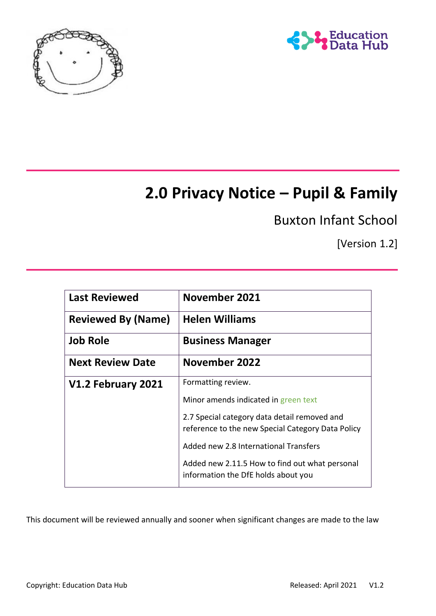



# **2.0 Privacy Notice – Pupil & Family**

Buxton Infant School

[Version 1.2]

| <b>Last Reviewed</b>      | November 2021                                                                                     |
|---------------------------|---------------------------------------------------------------------------------------------------|
| <b>Reviewed By (Name)</b> | <b>Helen Williams</b>                                                                             |
| <b>Job Role</b>           | <b>Business Manager</b>                                                                           |
| <b>Next Review Date</b>   | November 2022                                                                                     |
| V1.2 February 2021        | Formatting review.                                                                                |
|                           | Minor amends indicated in green text                                                              |
|                           | 2.7 Special category data detail removed and<br>reference to the new Special Category Data Policy |
|                           | Added new 2.8 International Transfers                                                             |
|                           | Added new 2.11.5 How to find out what personal<br>information the DfE holds about you             |

This document will be reviewed annually and sooner when significant changes are made to the law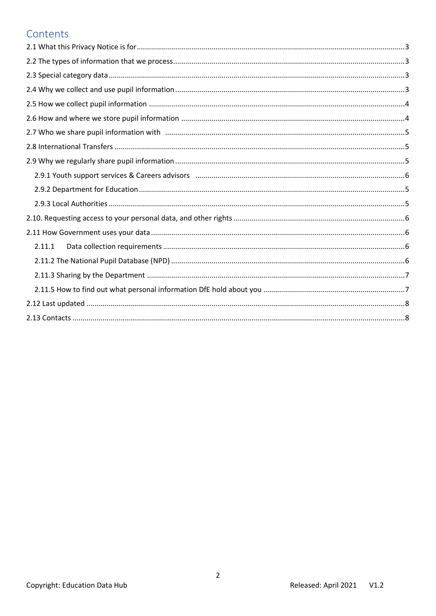### Contents

| 2.11.1 |  |
|--------|--|
|        |  |
|        |  |
|        |  |
|        |  |
|        |  |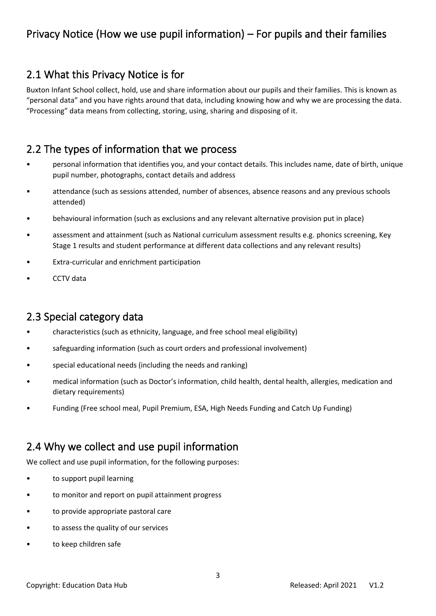# <span id="page-2-0"></span>2.1 What this Privacy Notice is for

Buxton Infant School collect, hold, use and share information about our pupils and their families. This is known as "personal data" and you have rights around that data, including knowing how and why we are processing the data. "Processing" data means from collecting, storing, using, sharing and disposing of it.

# <span id="page-2-1"></span>2.2 The types of information that we process

- personal information that identifies you, and your contact details. This includes name, date of birth, unique pupil number, photographs, contact details and address
- attendance (such as sessions attended, number of absences, absence reasons and any previous schools attended)
- behavioural information (such as exclusions and any relevant alternative provision put in place)
- assessment and attainment (such as National curriculum assessment results e.g. phonics screening, Key Stage 1 results and student performance at different data collections and any relevant results)
- Extra-curricular and enrichment participation
- CCTV data

# <span id="page-2-2"></span>2.3 Special category data

- characteristics (such as ethnicity, language, and free school meal eligibility)
- safeguarding information (such as court orders and professional involvement)
- special educational needs (including the needs and ranking)
- medical information (such as Doctor's information, child health, dental health, allergies, medication and dietary requirements)
- Funding (Free school meal, Pupil Premium, ESA, High Needs Funding and Catch Up Funding)

# <span id="page-2-3"></span>2.4 Why we collect and use pupil information

We collect and use pupil information, for the following purposes:

- to support pupil learning
- to monitor and report on pupil attainment progress
- to provide appropriate pastoral care
- to assess the quality of our services
- to keep children safe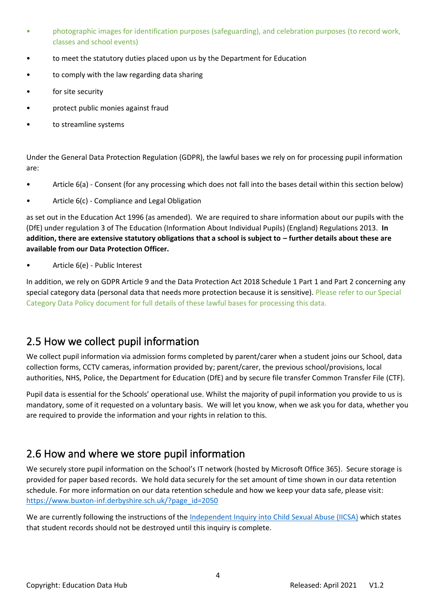- photographic images for identification purposes (safeguarding), and celebration purposes (to record work, classes and school events)
- to meet the statutory duties placed upon us by the Department for Education
- to comply with the law regarding data sharing
- for site security
- protect public monies against fraud
- to streamline systems

Under the General Data Protection Regulation (GDPR), the lawful bases we rely on for processing pupil information are:

- Article 6(a) Consent (for any processing which does not fall into the bases detail within this section below)
- Article 6(c) Compliance and Legal Obligation

as set out in the Education Act 1996 (as amended). We are required to share information about our pupils with the (DfE) under regulation 3 of The Education (Information About Individual Pupils) (England) Regulations 2013. **In addition, there are extensive statutory obligations that a school is subject to – further details about these are available from our Data Protection Officer.**

• Article 6(e) - Public Interest

In addition, we rely on GDPR Article 9 and the Data Protection Act 2018 Schedule 1 Part 1 and Part 2 concerning any special category data (personal data that needs more protection because it is sensitive). Please refer to our Special Category Data Policy document for full details of these lawful bases for processing this data.

# <span id="page-3-0"></span>2.5 How we collect pupil information

We collect pupil information via admission forms completed by parent/carer when a student joins our School, data collection forms, CCTV cameras, information provided by; parent/carer, the previous school/provisions, local authorities, NHS, Police, the Department for Education (DfE) and by secure file transfer Common Transfer File (CTF).

Pupil data is essential for the Schools' operational use. Whilst the majority of pupil information you provide to us is mandatory, some of it requested on a voluntary basis. We will let you know, when we ask you for data, whether you are required to provide the information and your rights in relation to this.

# <span id="page-3-1"></span>2.6 How and where we store pupil information

We securely store pupil information on the School's IT network (hosted by Microsoft Office 365). Secure storage is provided for paper based records. We hold data securely for the set amount of time shown in our data retention schedule. For more information on our data retention schedule and how we keep your data safe, please visit: [https://www.buxton-inf.derbyshire.sch.uk/?page\\_id=2050](https://www.buxton-inf.derbyshire.sch.uk/?page_id=2050)

We are currently following the instructions of the [Independent Inquiry into Child Sexual Abuse \(IICSA\)](https://www.iicsa.org.uk/document/guidance-note-retention-instructions-and-data-protection-requirements) which states that student records should not be destroyed until this inquiry is complete.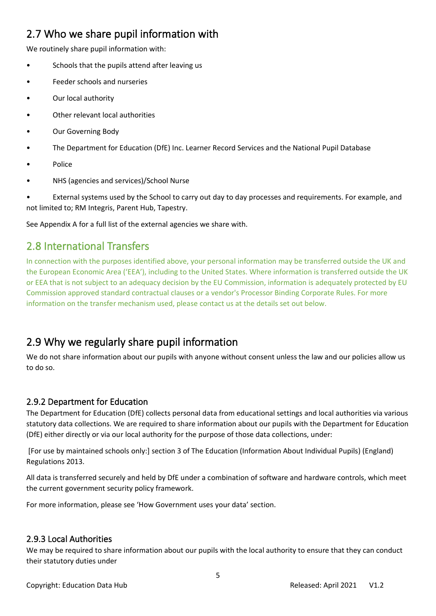# <span id="page-4-0"></span>2.7 Who we share pupil information with

We routinely share pupil information with:

- Schools that the pupils attend after leaving us
- Feeder schools and nurseries
- Our local authority
- Other relevant local authorities
- Our Governing Body
- The Department for Education (DfE) Inc. Learner Record Services and the National Pupil Database
- Police
- NHS (agencies and services)/School Nurse

• External systems used by the School to carry out day to day processes and requirements. For example, and not limited to; RM Integris, Parent Hub, Tapestry.

See Appendix A for a full list of the external agencies we share with.

# <span id="page-4-1"></span>2.8 International Transfers

In connection with the purposes identified above, your personal information may be transferred outside the UK and the European Economic Area ('EEA'), including to the United States. Where information is transferred outside the UK or EEA that is not subject to an adequacy decision by the EU Commission, information is adequately protected by EU Commission approved standard contractual clauses or a vendor's Processor Binding Corporate Rules. For more information on the transfer mechanism used, please contact us at the details set out below.

# <span id="page-4-2"></span>2.9 Why we regularly share pupil information

We do not share information about our pupils with anyone without consent unless the law and our policies allow us to do so.

#### <span id="page-4-3"></span>2.9.2 Department for Education

The Department for Education (DfE) collects personal data from educational settings and local authorities via various statutory data collections. We are required to share information about our pupils with the Department for Education (DfE) either directly or via our local authority for the purpose of those data collections, under:

[For use by maintained schools only:] section 3 of The Education (Information About Individual Pupils) (England) Regulations 2013.

All data is transferred securely and held by DfE under a combination of software and hardware controls, which meet the current government security policy framework.

For more information, please see 'How Government uses your data' section.

#### <span id="page-4-4"></span>2.9.3 Local Authorities

We may be required to share information about our pupils with the local authority to ensure that they can conduct their statutory duties under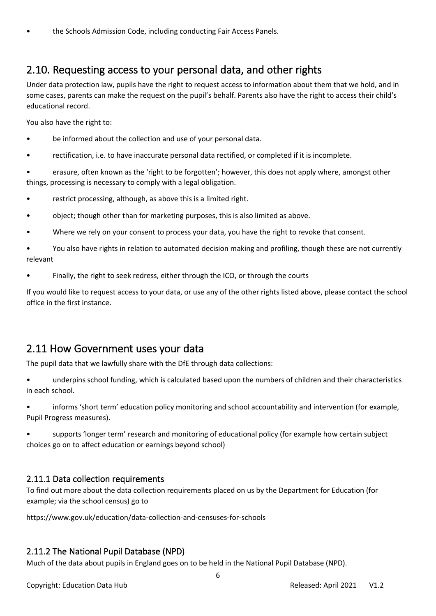## <span id="page-5-0"></span>2.10. Requesting access to your personal data, and other rights

Under data protection law, pupils have the right to request access to information about them that we hold, and in some cases, parents can make the request on the pupil's behalf. Parents also have the right to access their child's educational record.

You also have the right to:

- be informed about the collection and use of your personal data.
- rectification, i.e. to have inaccurate personal data rectified, or completed if it is incomplete.

• erasure, often known as the 'right to be forgotten'; however, this does not apply where, amongst other things, processing is necessary to comply with a legal obligation.

- restrict processing, although, as above this is a limited right.
- object; though other than for marketing purposes, this is also limited as above.
- Where we rely on your consent to process your data, you have the right to revoke that consent.

• You also have rights in relation to automated decision making and profiling, though these are not currently relevant

• Finally, the right to seek redress, either through the ICO, or through the courts

If you would like to request access to your data, or use any of the other rights listed above, please contact the school office in the first instance.

### <span id="page-5-1"></span>2.11 How Government uses your data

The pupil data that we lawfully share with the DfE through data collections:

• underpins school funding, which is calculated based upon the numbers of children and their characteristics in each school.

• informs 'short term' education policy monitoring and school accountability and intervention (for example, Pupil Progress measures).

• supports 'longer term' research and monitoring of educational policy (for example how certain subject choices go on to affect education or earnings beyond school)

#### <span id="page-5-2"></span>2.11.1 Data collection requirements

To find out more about the data collection requirements placed on us by the Department for Education (for example; via the school census) go to

https://www.gov.uk/education/data-collection-and-censuses-for-schools

#### <span id="page-5-3"></span>2.11.2 The National Pupil Database (NPD)

Much of the data about pupils in England goes on to be held in the National Pupil Database (NPD).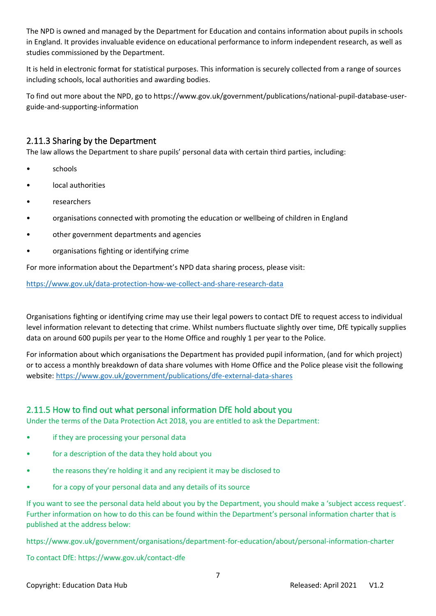The NPD is owned and managed by the Department for Education and contains information about pupils in schools in England. It provides invaluable evidence on educational performance to inform independent research, as well as studies commissioned by the Department.

It is held in electronic format for statistical purposes. This information is securely collected from a range of sources including schools, local authorities and awarding bodies.

To find out more about the NPD, go to https://www.gov.uk/government/publications/national-pupil-database-userguide-and-supporting-information

#### <span id="page-6-0"></span>2.11.3 Sharing by the Department

The law allows the Department to share pupils' personal data with certain third parties, including:

- schools
- local authorities
- researchers
- organisations connected with promoting the education or wellbeing of children in England
- other government departments and agencies
- organisations fighting or identifying crime

For more information about the Department's NPD data sharing process, please visit:

<https://www.gov.uk/data-protection-how-we-collect-and-share-research-data>

Organisations fighting or identifying crime may use their legal powers to contact DfE to request access to individual level information relevant to detecting that crime. Whilst numbers fluctuate slightly over time, DfE typically supplies data on around 600 pupils per year to the Home Office and roughly 1 per year to the Police.

For information about which organisations the Department has provided pupil information, (and for which project) or to access a monthly breakdown of data share volumes with Home Office and the Police please visit the following website:<https://www.gov.uk/government/publications/dfe-external-data-shares>

#### <span id="page-6-1"></span>2.11.5 How to find out what personal information DfE hold about you

Under the terms of the Data Protection Act 2018, you are entitled to ask the Department:

- if they are processing your personal data
- for a description of the data they hold about you
- the reasons they're holding it and any recipient it may be disclosed to
- for a copy of your personal data and any details of its source

If you want to see the personal data held about you by the Department, you should make a 'subject access request'. Further information on how to do this can be found within the Department's personal information charter that is published at the address below:

https://www.gov.uk/government/organisations/department-for-education/about/personal-information-charter

To contact DfE: https://www.gov.uk/contact-dfe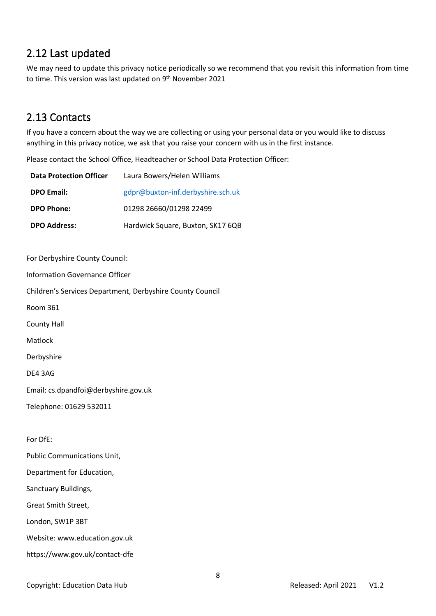# <span id="page-7-0"></span>2.12 Last updated

We may need to update this privacy notice periodically so we recommend that you revisit this information from time to time. This version was last updated on 9<sup>th</sup> November 2021

# <span id="page-7-1"></span>2.13 Contacts

If you have a concern about the way we are collecting or using your personal data or you would like to discuss anything in this privacy notice, we ask that you raise your concern with us in the first instance.

Please contact the School Office, Headteacher or School Data Protection Officer:

| <b>Data Protection Officer</b>        | Laura Bowers/Helen Williams                               |
|---------------------------------------|-----------------------------------------------------------|
| <b>DPO Email:</b>                     | gdpr@buxton-inf.derbyshire.sch.uk                         |
| <b>DPO Phone:</b>                     | 01298 26660/01298 22499                                   |
| <b>DPO Address:</b>                   | Hardwick Square, Buxton, SK17 6QB                         |
|                                       |                                                           |
| For Derbyshire County Council:        |                                                           |
| <b>Information Governance Officer</b> |                                                           |
|                                       | Children's Services Department, Derbyshire County Council |
| <b>Room 361</b>                       |                                                           |
| <b>County Hall</b>                    |                                                           |
| Matlock                               |                                                           |
| Derbyshire                            |                                                           |
| DE4 3AG                               |                                                           |
| Email: cs.dpandfoi@derbyshire.gov.uk  |                                                           |
| Telephone: 01629 532011               |                                                           |
|                                       |                                                           |
| For DfE:                              |                                                           |
| <b>Public Communications Unit,</b>    |                                                           |
| Department for Education,             |                                                           |
| Sanctuary Buildings,                  |                                                           |
| Great Smith Street,                   |                                                           |
| London, SW1P 3BT                      |                                                           |

Website: www.education.gov.uk

https://www.gov.uk/contact-dfe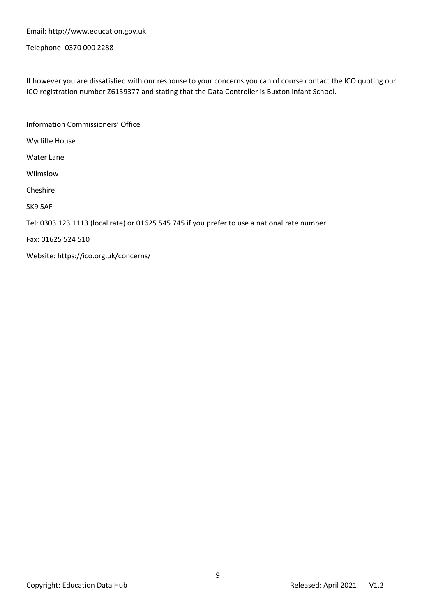Email: http://www.education.gov.uk

Telephone: 0370 000 2288

If however you are dissatisfied with our response to your concerns you can of course contact the ICO quoting our ICO registration number Z6159377 and stating that the Data Controller is Buxton infant School.

Information Commissioners' Office Wycliffe House Water Lane Wilmslow Cheshire SK9 5AF Tel: 0303 123 1113 (local rate) or 01625 545 745 if you prefer to use a national rate number Fax: 01625 524 510 Website: https://ico.org.uk/concerns/